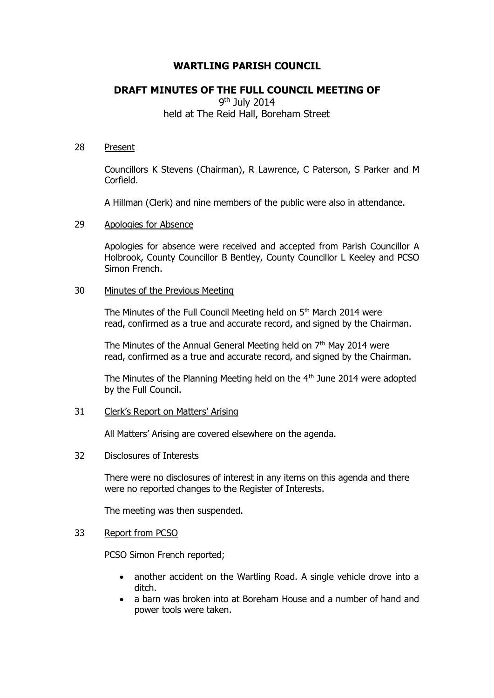# **WARTLING PARISH COUNCIL**

## **DRAFT MINUTES OF THE FULL COUNCIL MEETING OF**

9<sup>th</sup> July 2014 held at The Reid Hall, Boreham Street

### 28 Present

Councillors K Stevens (Chairman), R Lawrence, C Paterson, S Parker and M Corfield.

A Hillman (Clerk) and nine members of the public were also in attendance.

### 29 Apologies for Absence

Apologies for absence were received and accepted from Parish Councillor A Holbrook, County Councillor B Bentley, County Councillor L Keeley and PCSO Simon French.

### 30 Minutes of the Previous Meeting

The Minutes of the Full Council Meeting held on  $5<sup>th</sup>$  March 2014 were read, confirmed as a true and accurate record, and signed by the Chairman.

The Minutes of the Annual General Meeting held on  $7<sup>th</sup>$  May 2014 were read, confirmed as a true and accurate record, and signed by the Chairman.

The Minutes of the Planning Meeting held on the 4<sup>th</sup> June 2014 were adopted by the Full Council.

## 31 Clerk's Report on Matters' Arising

All Matters' Arising are covered elsewhere on the agenda.

#### 32 Disclosures of Interests

There were no disclosures of interest in any items on this agenda and there were no reported changes to the Register of Interests.

The meeting was then suspended.

#### 33 Report from PCSO

PCSO Simon French reported;

- another accident on the Wartling Road. A single vehicle drove into a ditch.
- a barn was broken into at Boreham House and a number of hand and power tools were taken.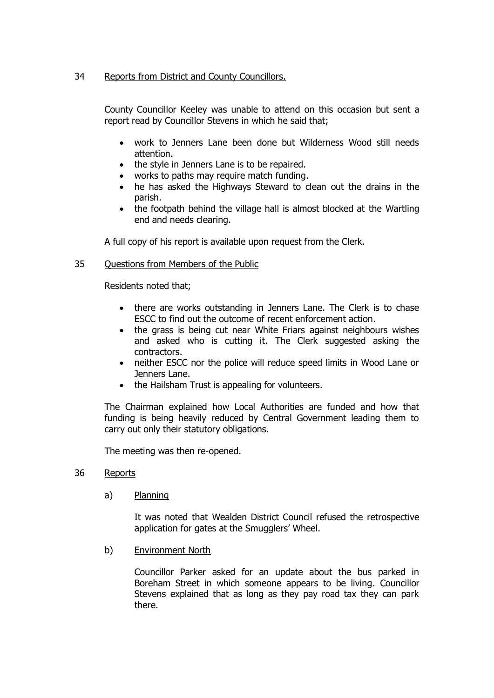## 34 Reports from District and County Councillors.

County Councillor Keeley was unable to attend on this occasion but sent a report read by Councillor Stevens in which he said that;

- work to Jenners Lane been done but Wilderness Wood still needs attention.
- the style in Jenners Lane is to be repaired.
- works to paths may require match funding.
- he has asked the Highways Steward to clean out the drains in the parish.
- the footpath behind the village hall is almost blocked at the Wartling end and needs clearing.

A full copy of his report is available upon request from the Clerk.

## 35 Questions from Members of the Public

Residents noted that;

- there are works outstanding in Jenners Lane. The Clerk is to chase ESCC to find out the outcome of recent enforcement action.
- the grass is being cut near White Friars against neighbours wishes and asked who is cutting it. The Clerk suggested asking the contractors.
- neither ESCC nor the police will reduce speed limits in Wood Lane or Jenners Lane.
- the Hailsham Trust is appealing for volunteers.

The Chairman explained how Local Authorities are funded and how that funding is being heavily reduced by Central Government leading them to carry out only their statutory obligations.

The meeting was then re-opened.

## 36 Reports

a) Planning

It was noted that Wealden District Council refused the retrospective application for gates at the Smugglers' Wheel.

b) Environment North

Councillor Parker asked for an update about the bus parked in Boreham Street in which someone appears to be living. Councillor Stevens explained that as long as they pay road tax they can park there.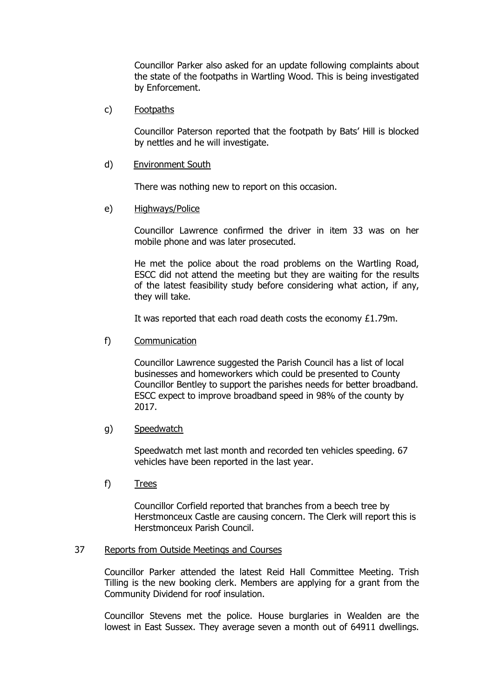Councillor Parker also asked for an update following complaints about the state of the footpaths in Wartling Wood. This is being investigated by Enforcement.

c) Footpaths

Councillor Paterson reported that the footpath by Bats' Hill is blocked by nettles and he will investigate.

d) Environment South

There was nothing new to report on this occasion.

e) Highways/Police

Councillor Lawrence confirmed the driver in item 33 was on her mobile phone and was later prosecuted.

He met the police about the road problems on the Wartling Road, ESCC did not attend the meeting but they are waiting for the results of the latest feasibility study before considering what action, if any, they will take.

It was reported that each road death costs the economy £1.79m.

f) Communication

Councillor Lawrence suggested the Parish Council has a list of local businesses and homeworkers which could be presented to County Councillor Bentley to support the parishes needs for better broadband. ESCC expect to improve broadband speed in 98% of the county by 2017.

g) Speedwatch

Speedwatch met last month and recorded ten vehicles speeding. 67 vehicles have been reported in the last year.

f) Trees

Councillor Corfield reported that branches from a beech tree by Herstmonceux Castle are causing concern. The Clerk will report this is Herstmonceux Parish Council.

### 37 Reports from Outside Meetings and Courses

Councillor Parker attended the latest Reid Hall Committee Meeting. Trish Tilling is the new booking clerk. Members are applying for a grant from the Community Dividend for roof insulation.

Councillor Stevens met the police. House burglaries in Wealden are the lowest in East Sussex. They average seven a month out of 64911 dwellings.